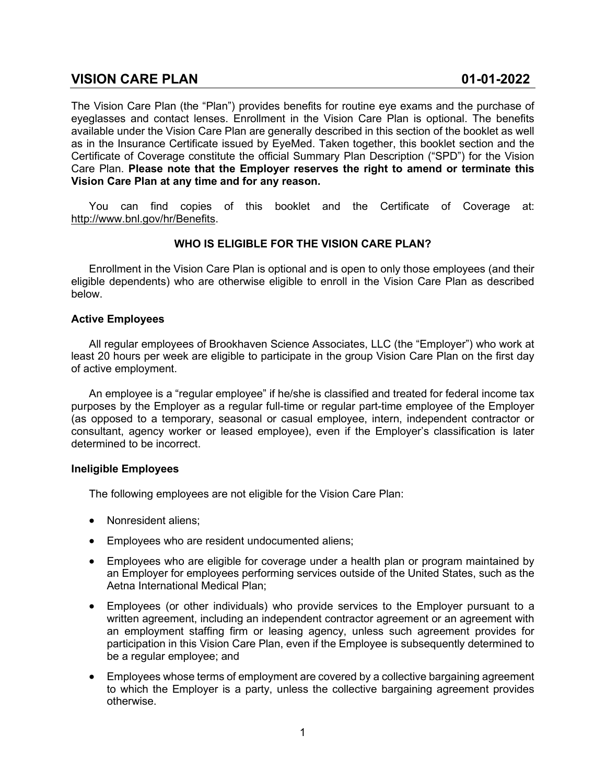# **VISION CARE PLAN 01-01-2022**

The Vision Care Plan (the "Plan") provides benefits for routine eye exams and the purchase of eyeglasses and contact lenses. Enrollment in the Vision Care Plan is optional. The benefits available under the Vision Care Plan are generally described in this section of the booklet as well as in the Insurance Certificate issued by EyeMed. Taken together, this booklet section and the Certificate of Coverage constitute the official Summary Plan Description ("SPD") for the Vision Care Plan. **Please note that the Employer reserves the right to amend or terminate this Vision Care Plan at any time and for any reason.**

You can find copies of this booklet and the Certificate of Coverage at: [http://www.bnl.gov/hr/Benefits.](http://www.bnl.gov/hr/Benefits)

### **WHO IS ELIGIBLE FOR THE VISION CARE PLAN?**

Enrollment in the Vision Care Plan is optional and is open to only those employees (and their eligible dependents) who are otherwise eligible to enroll in the Vision Care Plan as described below.

#### **Active Employees**

All regular employees of Brookhaven Science Associates, LLC (the "Employer") who work at least 20 hours per week are eligible to participate in the group Vision Care Plan on the first day of active employment.

An employee is a "regular employee" if he/she is classified and treated for federal income tax purposes by the Employer as a regular full-time or regular part-time employee of the Employer (as opposed to a temporary, seasonal or casual employee, intern, independent contractor or consultant, agency worker or leased employee), even if the Employer's classification is later determined to be incorrect.

#### **Ineligible Employees**

The following employees are not eligible for the Vision Care Plan:

- Nonresident aliens;
- Employees who are resident undocumented aliens;
- Employees who are eligible for coverage under a health plan or program maintained by an Employer for employees performing services outside of the United States, such as the Aetna International Medical Plan;
- Employees (or other individuals) who provide services to the Employer pursuant to a written agreement, including an independent contractor agreement or an agreement with an employment staffing firm or leasing agency, unless such agreement provides for participation in this Vision Care Plan, even if the Employee is subsequently determined to be a regular employee; and
- Employees whose terms of employment are covered by a collective bargaining agreement to which the Employer is a party, unless the collective bargaining agreement provides otherwise.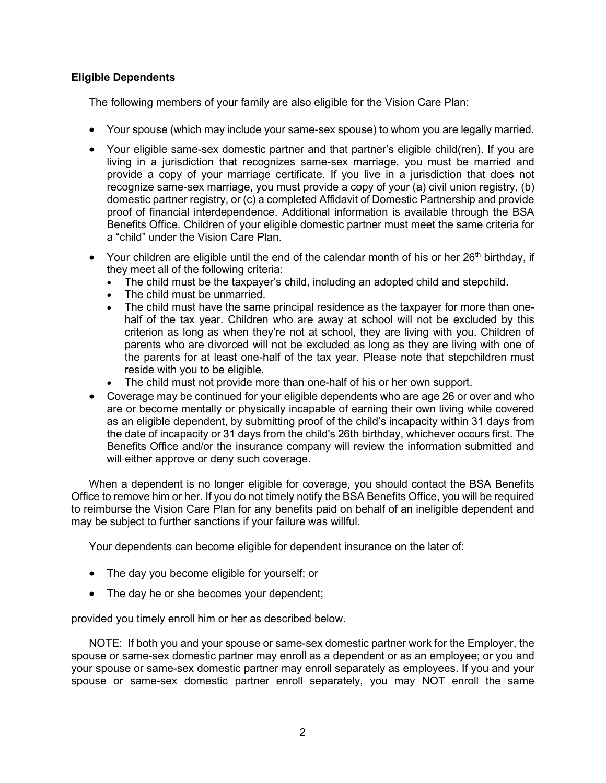# **Eligible Dependents**

The following members of your family are also eligible for the Vision Care Plan:

- Your spouse (which may include your same-sex spouse) to whom you are legally married.
- Your eligible same-sex domestic partner and that partner's eligible child(ren). If you are living in a jurisdiction that recognizes same-sex marriage, you must be married and provide a copy of your marriage certificate. If you live in a jurisdiction that does not recognize same-sex marriage, you must provide a copy of your (a) civil union registry, (b) domestic partner registry, or (c) a completed Affidavit of Domestic Partnership and provide proof of financial interdependence. Additional information is available through the BSA Benefits Office. Children of your eligible domestic partner must meet the same criteria for a "child" under the Vision Care Plan.
- Your children are eligible until the end of the calendar month of his or her  $26<sup>th</sup>$  birthday, if they meet all of the following criteria:
	- The child must be the taxpayer's child, including an adopted child and stepchild.
	- The child must be unmarried.
	- The child must have the same principal residence as the taxpayer for more than onehalf of the tax year. Children who are away at school will not be excluded by this criterion as long as when they're not at school, they are living with you. Children of parents who are divorced will not be excluded as long as they are living with one of the parents for at least one-half of the tax year. Please note that stepchildren must reside with you to be eligible.
	- The child must not provide more than one-half of his or her own support.
- Coverage may be continued for your eligible dependents who are age 26 or over and who are or become mentally or physically incapable of earning their own living while covered as an eligible dependent, by submitting proof of the child's incapacity within 31 days from the date of incapacity or 31 days from the child's 26th birthday, whichever occurs first. The Benefits Office and/or the insurance company will review the information submitted and will either approve or deny such coverage.

When a dependent is no longer eligible for coverage, you should contact the BSA Benefits Office to remove him or her. If you do not timely notify the BSA Benefits Office, you will be required to reimburse the Vision Care Plan for any benefits paid on behalf of an ineligible dependent and may be subject to further sanctions if your failure was willful.

Your dependents can become eligible for dependent insurance on the later of:

- The day you become eligible for yourself; or
- The day he or she becomes your dependent;

provided you timely enroll him or her as described below.

NOTE: If both you and your spouse or same-sex domestic partner work for the Employer, the spouse or same-sex domestic partner may enroll as a dependent or as an employee; or you and your spouse or same-sex domestic partner may enroll separately as employees. If you and your spouse or same-sex domestic partner enroll separately, you may NOT enroll the same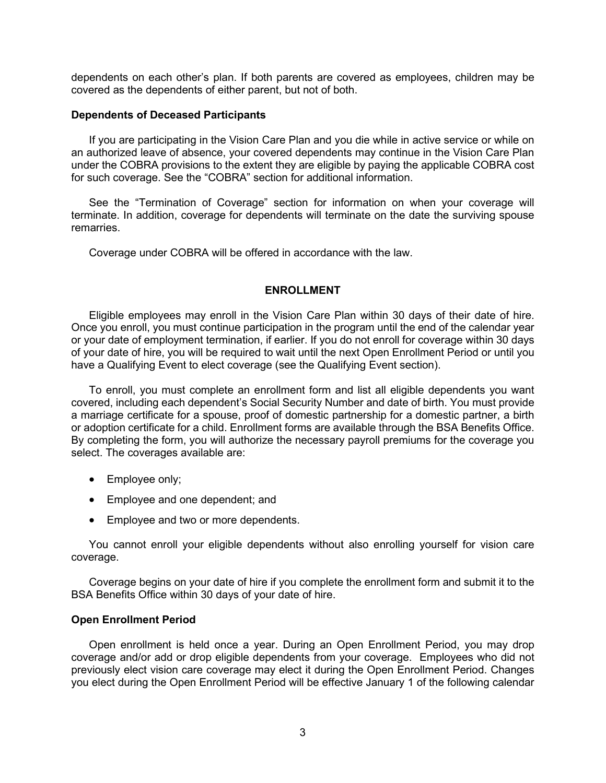dependents on each other's plan. If both parents are covered as employees, children may be covered as the dependents of either parent, but not of both.

## **Dependents of Deceased Participants**

If you are participating in the Vision Care Plan and you die while in active service or while on an authorized leave of absence, your covered dependents may continue in the Vision Care Plan under the COBRA provisions to the extent they are eligible by paying the applicable COBRA cost for such coverage. See the "COBRA" section for additional information.

See the "Termination of Coverage" section for information on when your coverage will terminate. In addition, coverage for dependents will terminate on the date the surviving spouse remarries.

Coverage under COBRA will be offered in accordance with the law.

### **ENROLLMENT**

Eligible employees may enroll in the Vision Care Plan within 30 days of their date of hire. Once you enroll, you must continue participation in the program until the end of the calendar year or your date of employment termination, if earlier. If you do not enroll for coverage within 30 days of your date of hire, you will be required to wait until the next Open Enrollment Period or until you have a Qualifying Event to elect coverage (see the Qualifying Event section).

To enroll, you must complete an enrollment form and list all eligible dependents you want covered, including each dependent's Social Security Number and date of birth. You must provide a marriage certificate for a spouse, proof of domestic partnership for a domestic partner, a birth or adoption certificate for a child. Enrollment forms are available through the BSA Benefits Office. By completing the form, you will authorize the necessary payroll premiums for the coverage you select. The coverages available are:

- Employee only;
- Employee and one dependent; and
- Employee and two or more dependents.

You cannot enroll your eligible dependents without also enrolling yourself for vision care coverage.

Coverage begins on your date of hire if you complete the enrollment form and submit it to the BSA Benefits Office within 30 days of your date of hire.

### **Open Enrollment Period**

Open enrollment is held once a year. During an Open Enrollment Period, you may drop coverage and/or add or drop eligible dependents from your coverage. Employees who did not previously elect vision care coverage may elect it during the Open Enrollment Period. Changes you elect during the Open Enrollment Period will be effective January 1 of the following calendar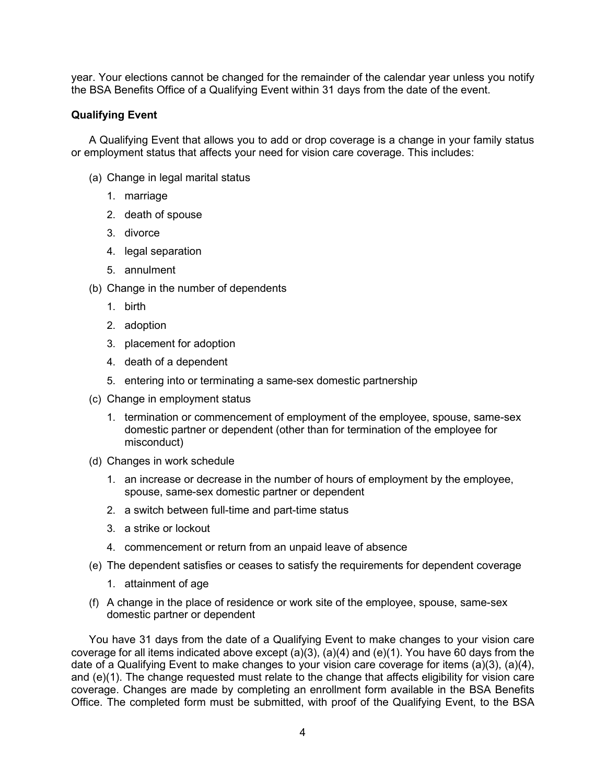year. Your elections cannot be changed for the remainder of the calendar year unless you notify the BSA Benefits Office of a Qualifying Event within 31 days from the date of the event.

# **Qualifying Event**

A Qualifying Event that allows you to add or drop coverage is a change in your family status or employment status that affects your need for vision care coverage. This includes:

- (a) Change in legal marital status
	- 1. marriage
	- 2. death of spouse
	- 3. divorce
	- 4. legal separation
	- 5. annulment
- (b) Change in the number of dependents
	- 1. birth
	- 2. adoption
	- 3. placement for adoption
	- 4. death of a dependent
	- 5. entering into or terminating a same-sex domestic partnership
- (c) Change in employment status
	- 1. termination or commencement of employment of the employee, spouse, same-sex domestic partner or dependent (other than for termination of the employee for misconduct)
- (d) Changes in work schedule
	- 1. an increase or decrease in the number of hours of employment by the employee, spouse, same-sex domestic partner or dependent
	- 2. a switch between full-time and part-time status
	- 3. a strike or lockout
	- 4. commencement or return from an unpaid leave of absence
- (e) The dependent satisfies or ceases to satisfy the requirements for dependent coverage
	- 1. attainment of age
- (f) A change in the place of residence or work site of the employee, spouse, same-sex domestic partner or dependent

You have 31 days from the date of a Qualifying Event to make changes to your vision care coverage for all items indicated above except (a)(3), (a)(4) and (e)(1). You have 60 days from the date of a Qualifying Event to make changes to your vision care coverage for items (a)(3), (a)(4), and (e)(1). The change requested must relate to the change that affects eligibility for vision care coverage. Changes are made by completing an enrollment form available in the BSA Benefits Office. The completed form must be submitted, with proof of the Qualifying Event, to the BSA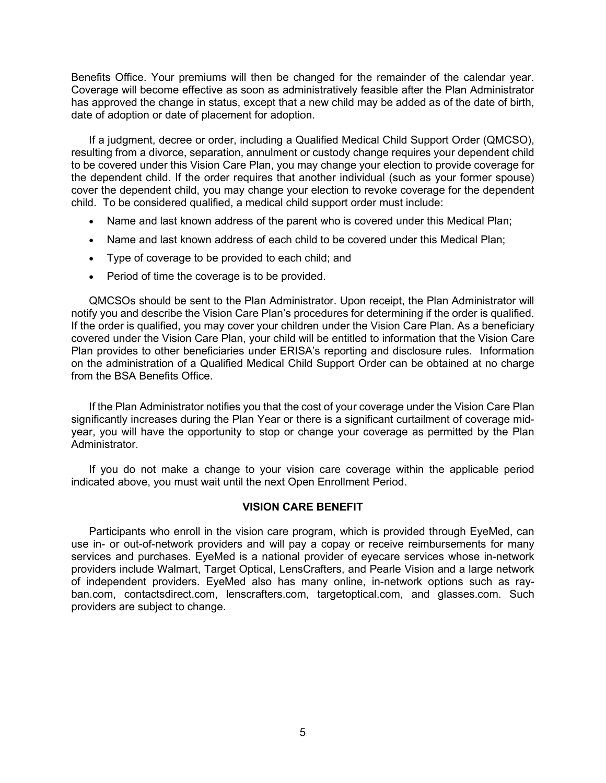Benefits Office. Your premiums will then be changed for the remainder of the calendar year. Coverage will become effective as soon as administratively feasible after the Plan Administrator has approved the change in status, except that a new child may be added as of the date of birth, date of adoption or date of placement for adoption.

If a judgment, decree or order, including a Qualified Medical Child Support Order (QMCSO), resulting from a divorce, separation, annulment or custody change requires your dependent child to be covered under this Vision Care Plan, you may change your election to provide coverage for the dependent child. If the order requires that another individual (such as your former spouse) cover the dependent child, you may change your election to revoke coverage for the dependent child. To be considered qualified, a medical child support order must include:

- Name and last known address of the parent who is covered under this Medical Plan;
- Name and last known address of each child to be covered under this Medical Plan;
- Type of coverage to be provided to each child; and
- Period of time the coverage is to be provided.

QMCSOs should be sent to the Plan Administrator. Upon receipt, the Plan Administrator will notify you and describe the Vision Care Plan's procedures for determining if the order is qualified. If the order is qualified, you may cover your children under the Vision Care Plan. As a beneficiary covered under the Vision Care Plan, your child will be entitled to information that the Vision Care Plan provides to other beneficiaries under ERISA's reporting and disclosure rules. Information on the administration of a Qualified Medical Child Support Order can be obtained at no charge from the BSA Benefits Office.

If the Plan Administrator notifies you that the cost of your coverage under the Vision Care Plan significantly increases during the Plan Year or there is a significant curtailment of coverage midyear, you will have the opportunity to stop or change your coverage as permitted by the Plan Administrator.

If you do not make a change to your vision care coverage within the applicable period indicated above, you must wait until the next Open Enrollment Period.

### **VISION CARE BENEFIT**

Participants who enroll in the vision care program, which is provided through EyeMed, can use in- or out-of-network providers and will pay a copay or receive reimbursements for many services and purchases. EyeMed is a national provider of eyecare services whose in-network providers include Walmart, Target Optical, LensCrafters, and Pearle Vision and a large network of independent providers. EyeMed also has many online, in-network options such as rayban.com, contactsdirect.com, lenscrafters.com, targetoptical.com, and glasses.com. Such providers are subject to change.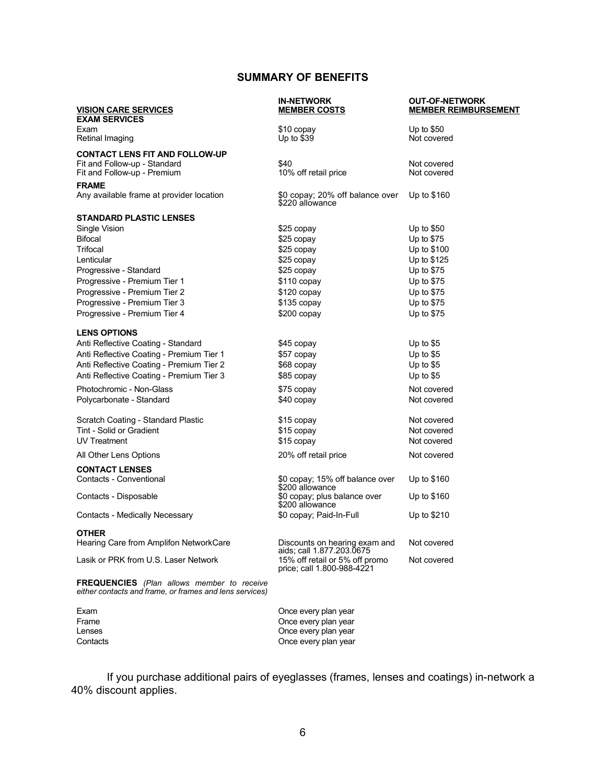# **SUMMARY OF BENEFITS**

| <b>VISION CARE SERVICES</b>                                                                                  | <b>IN-NETWORK</b><br><b>MEMBER COSTS</b>                     | <b>OUT-OF-NETWORK</b><br><b>MEMBER REIMBURSEMENT</b> |
|--------------------------------------------------------------------------------------------------------------|--------------------------------------------------------------|------------------------------------------------------|
| <b>EXAM SERVICES</b>                                                                                         |                                                              |                                                      |
| Exam                                                                                                         | \$10 copay                                                   | Up to $$50$                                          |
| Retinal Imaging                                                                                              | Up to \$39                                                   | Not covered                                          |
| <b>CONTACT LENS FIT AND FOLLOW-UP</b>                                                                        |                                                              |                                                      |
| Fit and Follow-up - Standard                                                                                 | \$40                                                         | Not covered                                          |
| Fit and Follow-up - Premium                                                                                  | 10% off retail price                                         | Not covered                                          |
| <b>FRAME</b>                                                                                                 |                                                              |                                                      |
| Any available frame at provider location                                                                     | \$0 copay; 20% off balance over<br>\$220 allowance           | Up to \$160                                          |
| <b>STANDARD PLASTIC LENSES</b>                                                                               |                                                              |                                                      |
| Single Vision                                                                                                | \$25 copay                                                   | Up to \$50                                           |
| <b>Bifocal</b>                                                                                               | \$25 copay                                                   | Up to \$75                                           |
| Trifocal                                                                                                     | \$25 copay                                                   | Up to \$100                                          |
| Lenticular                                                                                                   | \$25 copay                                                   | Up to \$125                                          |
| Progressive - Standard                                                                                       | \$25 copay                                                   | Up to \$75                                           |
| Progressive - Premium Tier 1                                                                                 | \$110 copay                                                  | Up to \$75                                           |
| Progressive - Premium Tier 2                                                                                 | \$120 copay                                                  | Up to \$75                                           |
| Progressive - Premium Tier 3                                                                                 | $$135$ copay                                                 | Up to \$75                                           |
| Progressive - Premium Tier 4                                                                                 | $$200$ copay                                                 | Up to \$75                                           |
|                                                                                                              |                                                              |                                                      |
| <b>LENS OPTIONS</b>                                                                                          |                                                              |                                                      |
| Anti Reflective Coating - Standard                                                                           | \$45 copay                                                   | Up to \$5                                            |
| Anti Reflective Coating - Premium Tier 1                                                                     | \$57 copay                                                   | Up to $$5$                                           |
| Anti Reflective Coating - Premium Tier 2                                                                     | \$68 copay                                                   | Up to \$5                                            |
| Anti Reflective Coating - Premium Tier 3                                                                     | \$85 copay                                                   | Up to $$5$                                           |
| Photochromic - Non-Glass                                                                                     | \$75 copay                                                   | Not covered                                          |
| Polycarbonate - Standard                                                                                     | \$40 copay                                                   | Not covered                                          |
|                                                                                                              |                                                              |                                                      |
| Scratch Coating - Standard Plastic                                                                           | \$15 copay                                                   | Not covered                                          |
| Tint - Solid or Gradient                                                                                     | \$15 copay                                                   | Not covered                                          |
| <b>UV Treatment</b>                                                                                          | \$15 copay                                                   | Not covered                                          |
| All Other Lens Options                                                                                       | 20% off retail price                                         | Not covered                                          |
| <b>CONTACT LENSES</b>                                                                                        |                                                              |                                                      |
| Contacts - Conventional                                                                                      | \$0 copay; 15% off balance over                              | Up to \$160                                          |
|                                                                                                              | \$200 allowance                                              |                                                      |
| Contacts - Disposable                                                                                        | \$0 copay; plus balance over<br>\$200 allowance              | Up to \$160                                          |
| Contacts - Medically Necessary                                                                               | \$0 copay; Paid-In-Full                                      | Up to \$210                                          |
| <b>OTHER</b>                                                                                                 |                                                              |                                                      |
| Hearing Care from Amplifon NetworkCare                                                                       | Discounts on hearing exam and                                | Not covered                                          |
|                                                                                                              | aids; call 1.877.203.0675                                    |                                                      |
| Lasik or PRK from U.S. Laser Network                                                                         | 15% off retail or 5% off promo<br>price; call 1.800-988-4221 | Not covered                                          |
| <b>FREQUENCIES</b> (Plan allows member to receive<br>either contacts and frame, or frames and lens services) |                                                              |                                                      |
| Exam                                                                                                         | Once every plan year                                         |                                                      |
| Frame                                                                                                        | Once every plan year                                         |                                                      |
| Lenses                                                                                                       | Once every plan year                                         |                                                      |
| Contacts                                                                                                     | Once every plan year                                         |                                                      |

If you purchase additional pairs of eyeglasses (frames, lenses and coatings) in-network a 40% discount applies.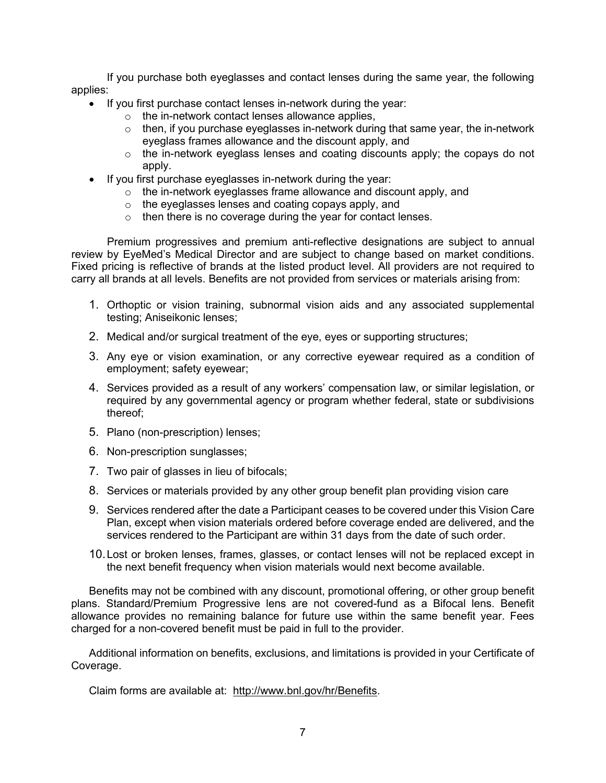If you purchase both eyeglasses and contact lenses during the same year, the following applies:

- If you first purchase contact lenses in-network during the year:
	- $\circ$  the in-network contact lenses allowance applies,
	- $\circ$  then, if you purchase eyeglasses in-network during that same year, the in-network eyeglass frames allowance and the discount apply, and
	- $\circ$  the in-network eyeglass lenses and coating discounts apply; the copays do not apply.
- If you first purchase eyeglasses in-network during the year:
	- $\circ$  the in-network eyeglasses frame allowance and discount apply, and
		- o the eyeglasses lenses and coating copays apply, and
		- o then there is no coverage during the year for contact lenses.

Premium progressives and premium anti-reflective designations are subject to annual review by EyeMed's Medical Director and are subject to change based on market conditions. Fixed pricing is reflective of brands at the listed product level. All providers are not required to carry all brands at all levels. Benefits are not provided from services or materials arising from:

- 1. Orthoptic or vision training, subnormal vision aids and any associated supplemental testing; Aniseikonic lenses;
- 2. Medical and/or surgical treatment of the eye, eyes or supporting structures;
- 3. Any eye or vision examination, or any corrective eyewear required as a condition of employment; safety eyewear;
- 4. Services provided as a result of any workers' compensation law, or similar legislation, or required by any governmental agency or program whether federal, state or subdivisions thereof;
- 5. Plano (non-prescription) lenses;
- 6. Non-prescription sunglasses;
- 7. Two pair of glasses in lieu of bifocals;
- 8. Services or materials provided by any other group benefit plan providing vision care
- 9. Services rendered after the date a Participant ceases to be covered under this Vision Care Plan, except when vision materials ordered before coverage ended are delivered, and the services rendered to the Participant are within 31 days from the date of such order.
- 10.Lost or broken lenses, frames, glasses, or contact lenses will not be replaced except in the next benefit frequency when vision materials would next become available.

Benefits may not be combined with any discount, promotional offering, or other group benefit plans. Standard/Premium Progressive lens are not covered-fund as a Bifocal lens. Benefit allowance provides no remaining balance for future use within the same benefit year. Fees charged for a non-covered benefit must be paid in full to the provider.

Additional information on benefits, exclusions, and limitations is provided in your Certificate of Coverage.

Claim forms are available at: [http://www.bnl.gov/hr/Benefits.](http://www.bnl.gov/hr/Benefits)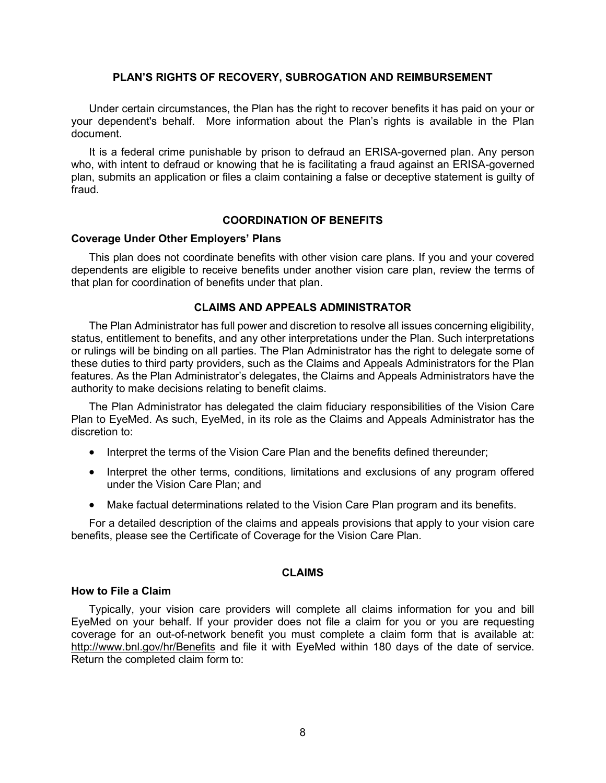### **PLAN'S RIGHTS OF RECOVERY, SUBROGATION AND REIMBURSEMENT**

Under certain circumstances, the Plan has the right to recover benefits it has paid on your or your dependent's behalf. More information about the Plan's rights is available in the Plan document.

It is a federal crime punishable by prison to defraud an ERISA-governed plan. Any person who, with intent to defraud or knowing that he is facilitating a fraud against an ERISA-governed plan, submits an application or files a claim containing a false or deceptive statement is guilty of fraud.

### **COORDINATION OF BENEFITS**

#### **Coverage Under Other Employers' Plans**

This plan does not coordinate benefits with other vision care plans. If you and your covered dependents are eligible to receive benefits under another vision care plan, review the terms of that plan for coordination of benefits under that plan.

#### **CLAIMS AND APPEALS ADMINISTRATOR**

The Plan Administrator has full power and discretion to resolve all issues concerning eligibility, status, entitlement to benefits, and any other interpretations under the Plan. Such interpretations or rulings will be binding on all parties. The Plan Administrator has the right to delegate some of these duties to third party providers, such as the Claims and Appeals Administrators for the Plan features. As the Plan Administrator's delegates, the Claims and Appeals Administrators have the authority to make decisions relating to benefit claims.

The Plan Administrator has delegated the claim fiduciary responsibilities of the Vision Care Plan to EyeMed. As such, EyeMed, in its role as the Claims and Appeals Administrator has the discretion to:

- Interpret the terms of the Vision Care Plan and the benefits defined thereunder;
- Interpret the other terms, conditions, limitations and exclusions of any program offered under the Vision Care Plan; and
- Make factual determinations related to the Vision Care Plan program and its benefits.

For a detailed description of the claims and appeals provisions that apply to your vision care benefits, please see the Certificate of Coverage for the Vision Care Plan.

#### **CLAIMS**

#### **How to File a Claim**

Typically, your vision care providers will complete all claims information for you and bill EyeMed on your behalf. If your provider does not file a claim for you or you are requesting coverage for an out-of-network benefit you must complete a claim form that is available at: <http://www.bnl.gov/hr/Benefits> and file it with EyeMed within 180 days of the date of service. Return the completed claim form to: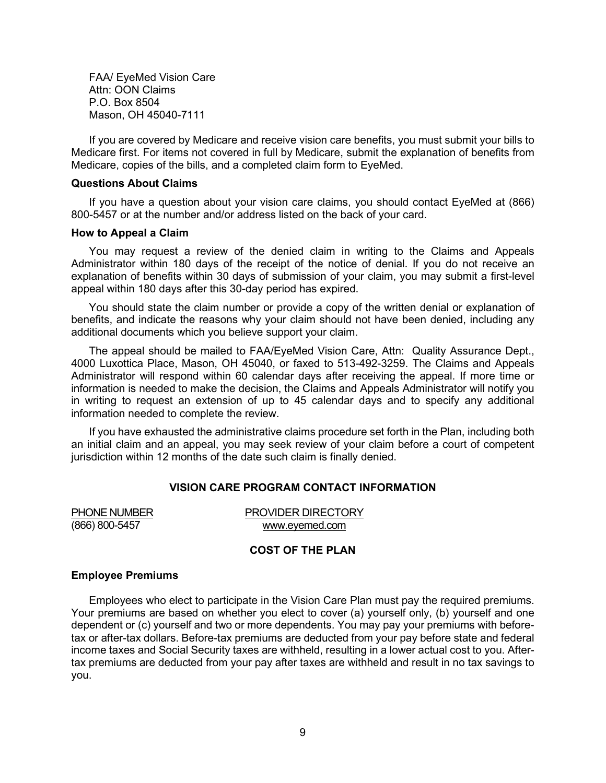FAA/ EyeMed Vision Care Attn: OON Claims P.O. Box 8504 Mason, OH 45040-7111

If you are covered by Medicare and receive vision care benefits, you must submit your bills to Medicare first. For items not covered in full by Medicare, submit the explanation of benefits from Medicare, copies of the bills, and a completed claim form to EyeMed.

#### **Questions About Claims**

If you have a question about your vision care claims, you should contact EyeMed at (866) 800-5457 or at the number and/or address listed on the back of your card.

#### **How to Appeal a Claim**

You may request a review of the denied claim in writing to the Claims and Appeals Administrator within 180 days of the receipt of the notice of denial. If you do not receive an explanation of benefits within 30 days of submission of your claim, you may submit a first-level appeal within 180 days after this 30-day period has expired.

You should state the claim number or provide a copy of the written denial or explanation of benefits, and indicate the reasons why your claim should not have been denied, including any additional documents which you believe support your claim.

The appeal should be mailed to FAA/EyeMed Vision Care, Attn: Quality Assurance Dept., 4000 Luxottica Place, Mason, OH 45040, or faxed to 513-492-3259. The Claims and Appeals Administrator will respond within 60 calendar days after receiving the appeal. If more time or information is needed to make the decision, the Claims and Appeals Administrator will notify you in writing to request an extension of up to 45 calendar days and to specify any additional information needed to complete the review.

If you have exhausted the administrative claims procedure set forth in the Plan, including both an initial claim and an appeal, you may seek review of your claim before a court of competent jurisdiction within 12 months of the date such claim is finally denied.

#### **VISION CARE PROGRAM CONTACT INFORMATION**

PHONE NUMBER PROVIDER DIRECTORY (866) 800-5457 [www.eyemed.com](http://www.eyemed.com/)

# **COST OF THE PLAN**

#### **Employee Premiums**

Employees who elect to participate in the Vision Care Plan must pay the required premiums. Your premiums are based on whether you elect to cover (a) yourself only, (b) yourself and one dependent or (c) yourself and two or more dependents. You may pay your premiums with beforetax or after-tax dollars. Before-tax premiums are deducted from your pay before state and federal income taxes and Social Security taxes are withheld, resulting in a lower actual cost to you. Aftertax premiums are deducted from your pay after taxes are withheld and result in no tax savings to you.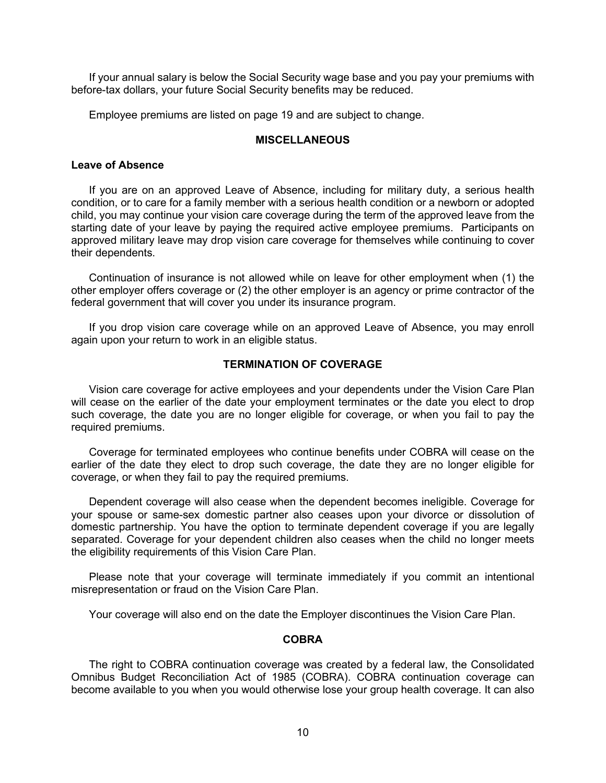If your annual salary is below the Social Security wage base and you pay your premiums with before-tax dollars, your future Social Security benefits may be reduced.

Employee premiums are listed on page 19 and are subject to change.

#### **MISCELLANEOUS**

#### **Leave of Absence**

If you are on an approved Leave of Absence, including for military duty, a serious health condition, or to care for a family member with a serious health condition or a newborn or adopted child, you may continue your vision care coverage during the term of the approved leave from the starting date of your leave by paying the required active employee premiums. Participants on approved military leave may drop vision care coverage for themselves while continuing to cover their dependents.

Continuation of insurance is not allowed while on leave for other employment when (1) the other employer offers coverage or (2) the other employer is an agency or prime contractor of the federal government that will cover you under its insurance program.

If you drop vision care coverage while on an approved Leave of Absence, you may enroll again upon your return to work in an eligible status.

# **TERMINATION OF COVERAGE**

Vision care coverage for active employees and your dependents under the Vision Care Plan will cease on the earlier of the date your employment terminates or the date you elect to drop such coverage, the date you are no longer eligible for coverage, or when you fail to pay the required premiums.

Coverage for terminated employees who continue benefits under COBRA will cease on the earlier of the date they elect to drop such coverage, the date they are no longer eligible for coverage, or when they fail to pay the required premiums.

Dependent coverage will also cease when the dependent becomes ineligible. Coverage for your spouse or same-sex domestic partner also ceases upon your divorce or dissolution of domestic partnership. You have the option to terminate dependent coverage if you are legally separated. Coverage for your dependent children also ceases when the child no longer meets the eligibility requirements of this Vision Care Plan.

Please note that your coverage will terminate immediately if you commit an intentional misrepresentation or fraud on the Vision Care Plan.

Your coverage will also end on the date the Employer discontinues the Vision Care Plan.

### **COBRA**

The right to COBRA continuation coverage was created by a federal law, the Consolidated Omnibus Budget Reconciliation Act of 1985 (COBRA). COBRA continuation coverage can become available to you when you would otherwise lose your group health coverage. It can also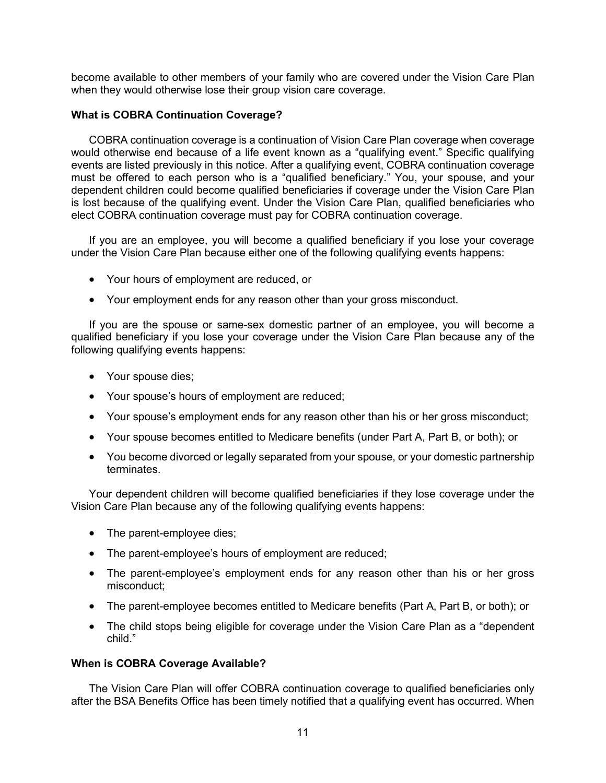become available to other members of your family who are covered under the Vision Care Plan when they would otherwise lose their group vision care coverage.

# **What is COBRA Continuation Coverage?**

COBRA continuation coverage is a continuation of Vision Care Plan coverage when coverage would otherwise end because of a life event known as a "qualifying event." Specific qualifying events are listed previously in this notice. After a qualifying event, COBRA continuation coverage must be offered to each person who is a "qualified beneficiary." You, your spouse, and your dependent children could become qualified beneficiaries if coverage under the Vision Care Plan is lost because of the qualifying event. Under the Vision Care Plan, qualified beneficiaries who elect COBRA continuation coverage must pay for COBRA continuation coverage.

If you are an employee, you will become a qualified beneficiary if you lose your coverage under the Vision Care Plan because either one of the following qualifying events happens:

- Your hours of employment are reduced, or
- Your employment ends for any reason other than your gross misconduct.

If you are the spouse or same-sex domestic partner of an employee, you will become a qualified beneficiary if you lose your coverage under the Vision Care Plan because any of the following qualifying events happens:

- Your spouse dies;
- Your spouse's hours of employment are reduced;
- Your spouse's employment ends for any reason other than his or her gross misconduct;
- Your spouse becomes entitled to Medicare benefits (under Part A, Part B, or both); or
- You become divorced or legally separated from your spouse, or your domestic partnership terminates.

Your dependent children will become qualified beneficiaries if they lose coverage under the Vision Care Plan because any of the following qualifying events happens:

- The parent-employee dies;
- The parent-employee's hours of employment are reduced;
- The parent-employee's employment ends for any reason other than his or her gross misconduct;
- The parent-employee becomes entitled to Medicare benefits (Part A, Part B, or both); or
- The child stops being eligible for coverage under the Vision Care Plan as a "dependent" child."

### **When is COBRA Coverage Available?**

The Vision Care Plan will offer COBRA continuation coverage to qualified beneficiaries only after the BSA Benefits Office has been timely notified that a qualifying event has occurred. When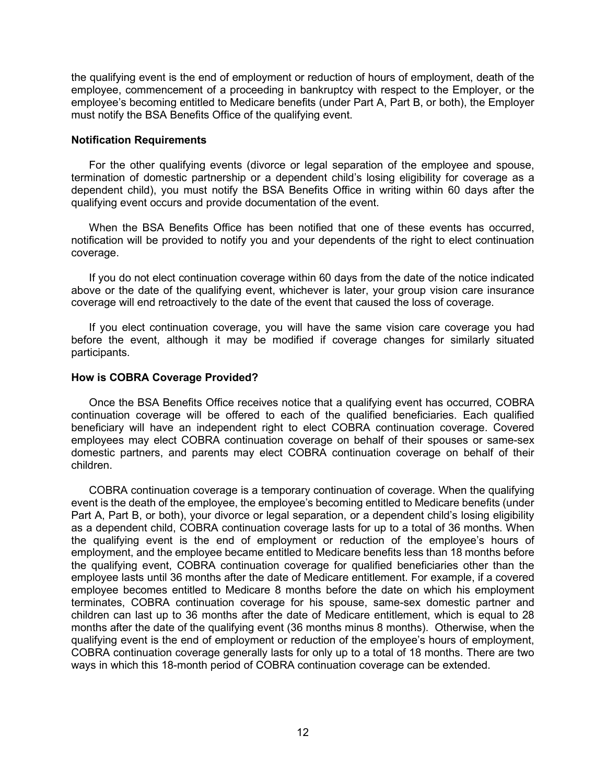the qualifying event is the end of employment or reduction of hours of employment, death of the employee, commencement of a proceeding in bankruptcy with respect to the Employer, or the employee's becoming entitled to Medicare benefits (under Part A, Part B, or both), the Employer must notify the BSA Benefits Office of the qualifying event.

#### **Notification Requirements**

For the other qualifying events (divorce or legal separation of the employee and spouse, termination of domestic partnership or a dependent child's losing eligibility for coverage as a dependent child), you must notify the BSA Benefits Office in writing within 60 days after the qualifying event occurs and provide documentation of the event.

When the BSA Benefits Office has been notified that one of these events has occurred, notification will be provided to notify you and your dependents of the right to elect continuation coverage.

If you do not elect continuation coverage within 60 days from the date of the notice indicated above or the date of the qualifying event, whichever is later, your group vision care insurance coverage will end retroactively to the date of the event that caused the loss of coverage.

If you elect continuation coverage, you will have the same vision care coverage you had before the event, although it may be modified if coverage changes for similarly situated participants.

### **How is COBRA Coverage Provided?**

Once the BSA Benefits Office receives notice that a qualifying event has occurred, COBRA continuation coverage will be offered to each of the qualified beneficiaries. Each qualified beneficiary will have an independent right to elect COBRA continuation coverage. Covered employees may elect COBRA continuation coverage on behalf of their spouses or same-sex domestic partners, and parents may elect COBRA continuation coverage on behalf of their children.

COBRA continuation coverage is a temporary continuation of coverage. When the qualifying event is the death of the employee, the employee's becoming entitled to Medicare benefits (under Part A, Part B, or both), your divorce or legal separation, or a dependent child's losing eligibility as a dependent child, COBRA continuation coverage lasts for up to a total of 36 months. When the qualifying event is the end of employment or reduction of the employee's hours of employment, and the employee became entitled to Medicare benefits less than 18 months before the qualifying event, COBRA continuation coverage for qualified beneficiaries other than the employee lasts until 36 months after the date of Medicare entitlement. For example, if a covered employee becomes entitled to Medicare 8 months before the date on which his employment terminates, COBRA continuation coverage for his spouse, same-sex domestic partner and children can last up to 36 months after the date of Medicare entitlement, which is equal to 28 months after the date of the qualifying event (36 months minus 8 months). Otherwise, when the qualifying event is the end of employment or reduction of the employee's hours of employment, COBRA continuation coverage generally lasts for only up to a total of 18 months. There are two ways in which this 18-month period of COBRA continuation coverage can be extended.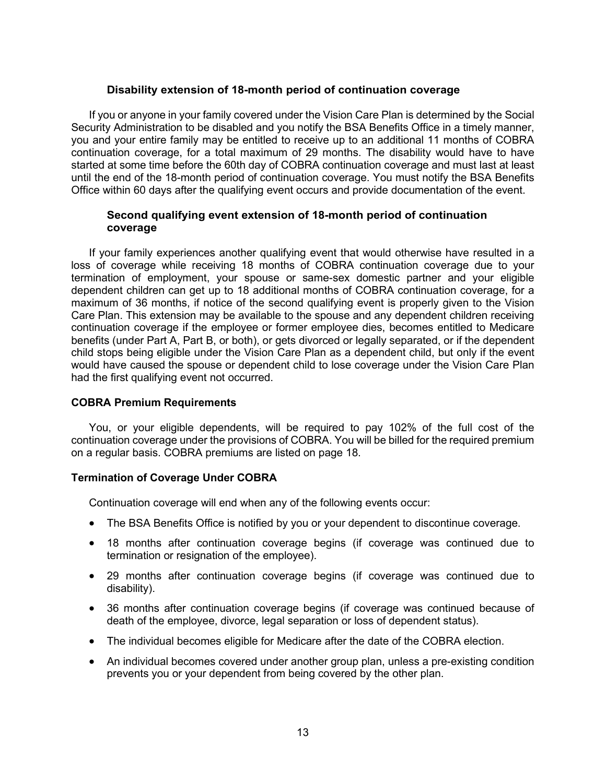# **Disability extension of 18-month period of continuation coverage**

If you or anyone in your family covered under the Vision Care Plan is determined by the Social Security Administration to be disabled and you notify the BSA Benefits Office in a timely manner, you and your entire family may be entitled to receive up to an additional 11 months of COBRA continuation coverage, for a total maximum of 29 months. The disability would have to have started at some time before the 60th day of COBRA continuation coverage and must last at least until the end of the 18-month period of continuation coverage. You must notify the BSA Benefits Office within 60 days after the qualifying event occurs and provide documentation of the event.

## **Second qualifying event extension of 18-month period of continuation coverage**

If your family experiences another qualifying event that would otherwise have resulted in a loss of coverage while receiving 18 months of COBRA continuation coverage due to your termination of employment, your spouse or same-sex domestic partner and your eligible dependent children can get up to 18 additional months of COBRA continuation coverage, for a maximum of 36 months, if notice of the second qualifying event is properly given to the Vision Care Plan. This extension may be available to the spouse and any dependent children receiving continuation coverage if the employee or former employee dies, becomes entitled to Medicare benefits (under Part A, Part B, or both), or gets divorced or legally separated, or if the dependent child stops being eligible under the Vision Care Plan as a dependent child, but only if the event would have caused the spouse or dependent child to lose coverage under the Vision Care Plan had the first qualifying event not occurred.

### **COBRA Premium Requirements**

You, or your eligible dependents, will be required to pay 102% of the full cost of the continuation coverage under the provisions of COBRA. You will be billed for the required premium on a regular basis. COBRA premiums are listed on page 18.

### **Termination of Coverage Under COBRA**

Continuation coverage will end when any of the following events occur:

- The BSA Benefits Office is notified by you or your dependent to discontinue coverage.
- 18 months after continuation coverage begins (if coverage was continued due to termination or resignation of the employee).
- 29 months after continuation coverage begins (if coverage was continued due to disability).
- 36 months after continuation coverage begins (if coverage was continued because of death of the employee, divorce, legal separation or loss of dependent status).
- The individual becomes eligible for Medicare after the date of the COBRA election.
- An individual becomes covered under another group plan, unless a pre-existing condition prevents you or your dependent from being covered by the other plan.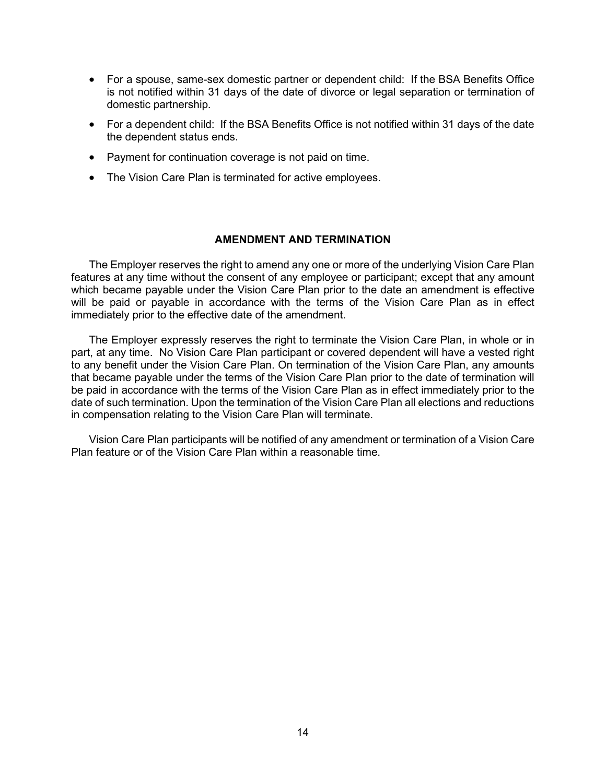- For a spouse, same-sex domestic partner or dependent child: If the BSA Benefits Office is not notified within 31 days of the date of divorce or legal separation or termination of domestic partnership.
- For a dependent child: If the BSA Benefits Office is not notified within 31 days of the date the dependent status ends.
- Payment for continuation coverage is not paid on time.
- The Vision Care Plan is terminated for active employees.

## **AMENDMENT AND TERMINATION**

The Employer reserves the right to amend any one or more of the underlying Vision Care Plan features at any time without the consent of any employee or participant; except that any amount which became payable under the Vision Care Plan prior to the date an amendment is effective will be paid or payable in accordance with the terms of the Vision Care Plan as in effect immediately prior to the effective date of the amendment.

The Employer expressly reserves the right to terminate the Vision Care Plan, in whole or in part, at any time. No Vision Care Plan participant or covered dependent will have a vested right to any benefit under the Vision Care Plan. On termination of the Vision Care Plan, any amounts that became payable under the terms of the Vision Care Plan prior to the date of termination will be paid in accordance with the terms of the Vision Care Plan as in effect immediately prior to the date of such termination. Upon the termination of the Vision Care Plan all elections and reductions in compensation relating to the Vision Care Plan will terminate.

Vision Care Plan participants will be notified of any amendment or termination of a Vision Care Plan feature or of the Vision Care Plan within a reasonable time.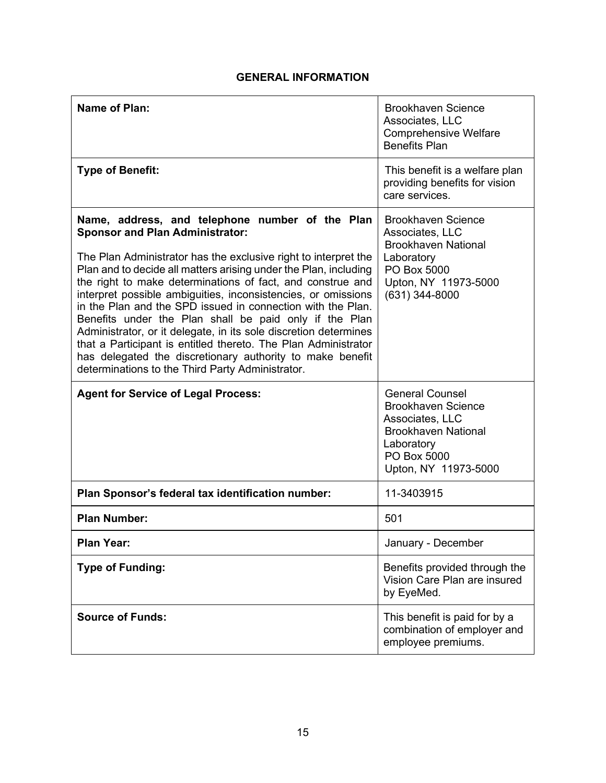# **GENERAL INFORMATION**

| <b>Brookhaven Science</b><br>Associates, LLC<br><b>Comprehensive Welfare</b><br><b>Benefits Plan</b>                                                      |
|-----------------------------------------------------------------------------------------------------------------------------------------------------------|
| This benefit is a welfare plan<br>providing benefits for vision<br>care services.                                                                         |
| <b>Brookhaven Science</b><br>Associates, LLC<br><b>Brookhaven National</b><br>Laboratory<br>PO Box 5000<br>Upton, NY 11973-5000<br>$(631)$ 344-8000       |
| <b>General Counsel</b><br><b>Brookhaven Science</b><br>Associates, LLC<br><b>Brookhaven National</b><br>Laboratory<br>PO Box 5000<br>Upton, NY 11973-5000 |
| 11-3403915                                                                                                                                                |
| 501                                                                                                                                                       |
| January - December                                                                                                                                        |
| Benefits provided through the<br>Vision Care Plan are insured<br>by EyeMed.                                                                               |
| This benefit is paid for by a<br>combination of employer and<br>employee premiums.                                                                        |
|                                                                                                                                                           |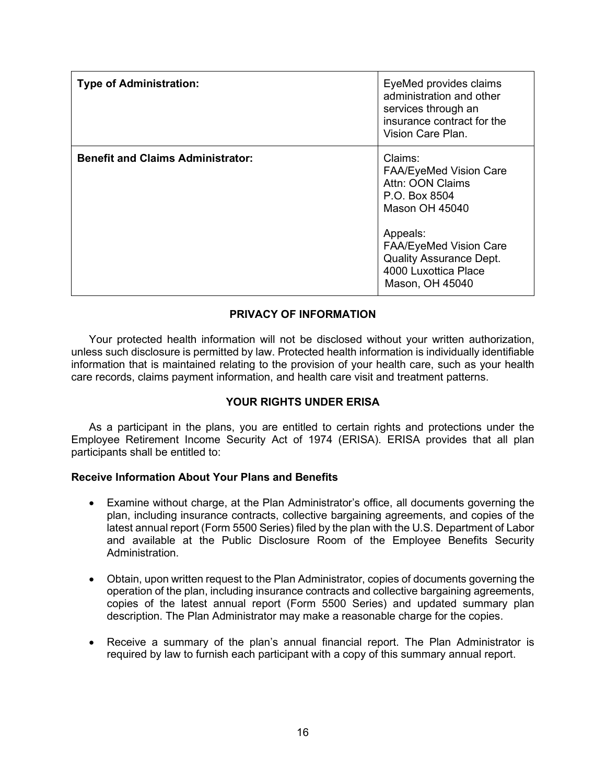| <b>Type of Administration:</b>           | EyeMed provides claims<br>administration and other<br>services through an<br>insurance contract for the<br>Vision Care Plan.                                                          |
|------------------------------------------|---------------------------------------------------------------------------------------------------------------------------------------------------------------------------------------|
| <b>Benefit and Claims Administrator:</b> | Claims:<br><b>FAA/EyeMed Vision Care</b><br>Attn: OON Claims<br>P.O. Box 8504<br><b>Mason OH 45040</b><br>Appeals:<br><b>FAA/EyeMed Vision Care</b><br><b>Quality Assurance Dept.</b> |
|                                          | 4000 Luxottica Place<br>Mason, OH 45040                                                                                                                                               |

# **PRIVACY OF INFORMATION**

Your protected health information will not be disclosed without your written authorization, unless such disclosure is permitted by law. Protected health information is individually identifiable information that is maintained relating to the provision of your health care, such as your health care records, claims payment information, and health care visit and treatment patterns.

# **YOUR RIGHTS UNDER ERISA**

As a participant in the plans, you are entitled to certain rights and protections under the Employee Retirement Income Security Act of 1974 (ERISA). ERISA provides that all plan participants shall be entitled to:

# **Receive Information About Your Plans and Benefits**

- Examine without charge, at the Plan Administrator's office, all documents governing the plan, including insurance contracts, collective bargaining agreements, and copies of the latest annual report (Form 5500 Series) filed by the plan with the U.S. Department of Labor and available at the Public Disclosure Room of the Employee Benefits Security Administration.
- Obtain, upon written request to the Plan Administrator, copies of documents governing the operation of the plan, including insurance contracts and collective bargaining agreements, copies of the latest annual report (Form 5500 Series) and updated summary plan description. The Plan Administrator may make a reasonable charge for the copies.
- Receive a summary of the plan's annual financial report. The Plan Administrator is required by law to furnish each participant with a copy of this summary annual report.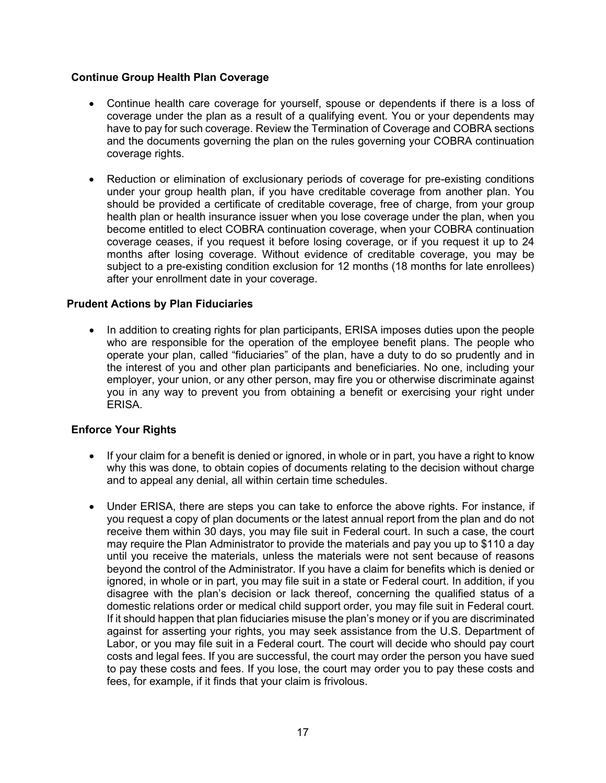# **Continue Group Health Plan Coverage**

- Continue health care coverage for yourself, spouse or dependents if there is a loss of coverage under the plan as a result of a qualifying event. You or your dependents may have to pay for such coverage. Review the Termination of Coverage and COBRA sections and the documents governing the plan on the rules governing your COBRA continuation coverage rights.
- Reduction or elimination of exclusionary periods of coverage for pre-existing conditions under your group health plan, if you have creditable coverage from another plan. You should be provided a certificate of creditable coverage, free of charge, from your group health plan or health insurance issuer when you lose coverage under the plan, when you become entitled to elect COBRA continuation coverage, when your COBRA continuation coverage ceases, if you request it before losing coverage, or if you request it up to 24 months after losing coverage. Without evidence of creditable coverage, you may be subject to a pre-existing condition exclusion for 12 months (18 months for late enrollees) after your enrollment date in your coverage.

## **Prudent Actions by Plan Fiduciaries**

• In addition to creating rights for plan participants, ERISA imposes duties upon the people who are responsible for the operation of the employee benefit plans. The people who operate your plan, called "fiduciaries" of the plan, have a duty to do so prudently and in the interest of you and other plan participants and beneficiaries. No one, including your employer, your union, or any other person, may fire you or otherwise discriminate against you in any way to prevent you from obtaining a benefit or exercising your right under ERISA.

# **Enforce Your Rights**

- If your claim for a benefit is denied or ignored, in whole or in part, you have a right to know why this was done, to obtain copies of documents relating to the decision without charge and to appeal any denial, all within certain time schedules.
- Under ERISA, there are steps you can take to enforce the above rights. For instance, if you request a copy of plan documents or the latest annual report from the plan and do not receive them within 30 days, you may file suit in Federal court. In such a case, the court may require the Plan Administrator to provide the materials and pay you up to \$110 a day until you receive the materials, unless the materials were not sent because of reasons beyond the control of the Administrator. If you have a claim for benefits which is denied or ignored, in whole or in part, you may file suit in a state or Federal court. In addition, if you disagree with the plan's decision or lack thereof, concerning the qualified status of a domestic relations order or medical child support order, you may file suit in Federal court. If it should happen that plan fiduciaries misuse the plan's money or if you are discriminated against for asserting your rights, you may seek assistance from the U.S. Department of Labor, or you may file suit in a Federal court. The court will decide who should pay court costs and legal fees. If you are successful, the court may order the person you have sued to pay these costs and fees. If you lose, the court may order you to pay these costs and fees, for example, if it finds that your claim is frivolous.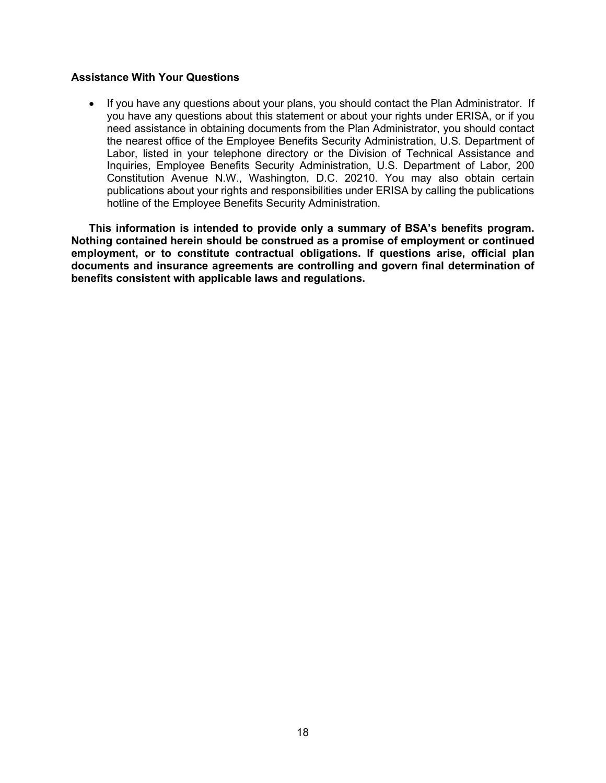## **Assistance With Your Questions**

• If you have any questions about your plans, you should contact the Plan Administrator. If you have any questions about this statement or about your rights under ERISA, or if you need assistance in obtaining documents from the Plan Administrator, you should contact the nearest office of the Employee Benefits Security Administration, U.S. Department of Labor, listed in your telephone directory or the Division of Technical Assistance and Inquiries, Employee Benefits Security Administration, U.S. Department of Labor, 200 Constitution Avenue N.W., Washington, D.C. 20210. You may also obtain certain publications about your rights and responsibilities under ERISA by calling the publications hotline of the Employee Benefits Security Administration.

**This information is intended to provide only a summary of BSA's benefits program. Nothing contained herein should be construed as a promise of employment or continued employment, or to constitute contractual obligations. If questions arise, official plan documents and insurance agreements are controlling and govern final determination of benefits consistent with applicable laws and regulations.**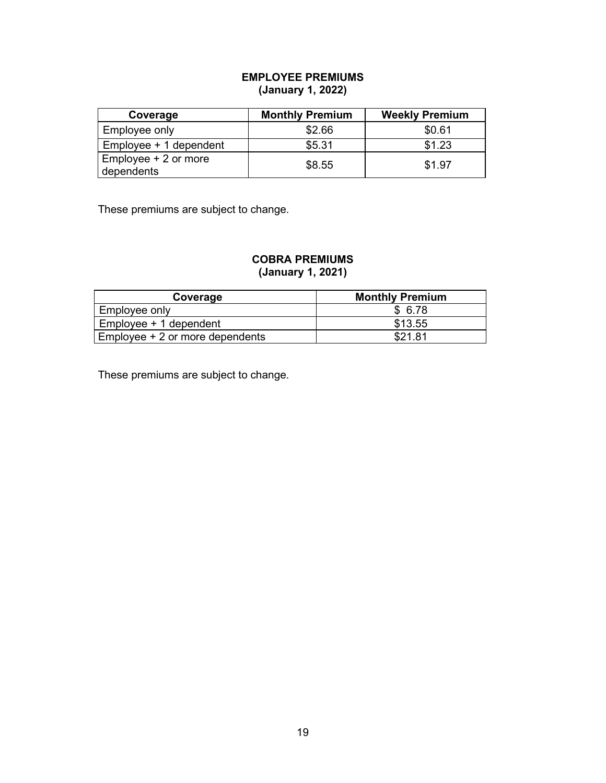# **EMPLOYEE PREMIUMS (January 1, 2022)**

| Coverage                             | <b>Monthly Premium</b> | <b>Weekly Premium</b> |
|--------------------------------------|------------------------|-----------------------|
| Employee only                        | \$2.66                 | \$0.61                |
| Employee + 1 dependent               | \$5.31                 | \$1.23                |
| $Employee + 2$ or more<br>dependents | \$8.55                 | \$1.97                |

These premiums are subject to change.

# **COBRA PREMIUMS (January 1, 2021)**

| Coverage                        | <b>Monthly Premium</b> |
|---------------------------------|------------------------|
| Employee only                   | \$6.78                 |
| Employee + 1 dependent          | \$13.55                |
| Employee + 2 or more dependents | \$21.81                |

These premiums are subject to change.